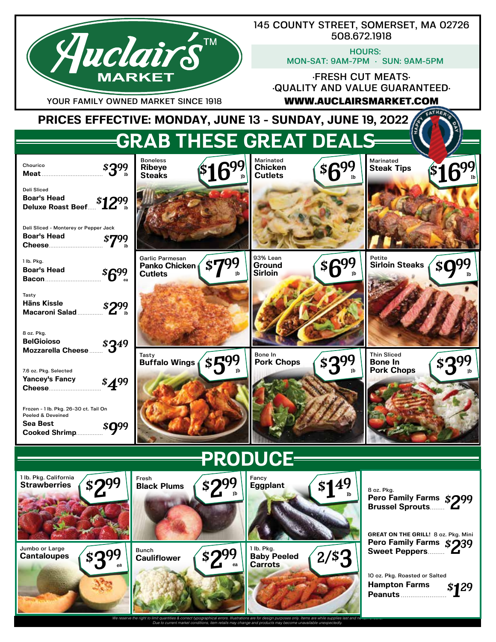